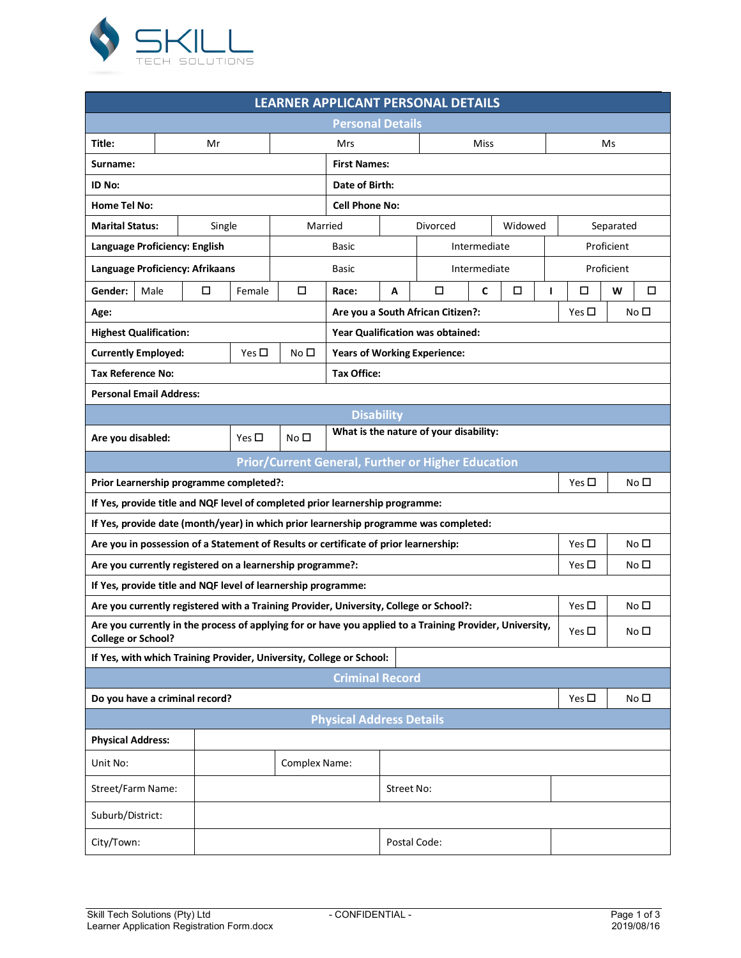

| <b>LEARNER APPLICANT PERSONAL DETAILS</b>                                                                                                                      |      |        |               |                     |                                                                    |                                  |              |             |                 |               |   |              |   |   |
|----------------------------------------------------------------------------------------------------------------------------------------------------------------|------|--------|---------------|---------------------|--------------------------------------------------------------------|----------------------------------|--------------|-------------|-----------------|---------------|---|--------------|---|---|
| <b>Personal Details</b>                                                                                                                                        |      |        |               |                     |                                                                    |                                  |              |             |                 |               |   |              |   |   |
| Title:                                                                                                                                                         | Mr   |        |               | Miss<br>Mrs         |                                                                    |                                  |              |             |                 | Ms            |   |              |   |   |
| Surname:                                                                                                                                                       |      |        |               | <b>First Names:</b> |                                                                    |                                  |              |             |                 |               |   |              |   |   |
| ID No:                                                                                                                                                         |      |        |               |                     | Date of Birth:                                                     |                                  |              |             |                 |               |   |              |   |   |
| <b>Home Tel No:</b>                                                                                                                                            |      |        |               |                     | <b>Cell Phone No:</b>                                              |                                  |              |             |                 |               |   |              |   |   |
| <b>Marital Status:</b>                                                                                                                                         |      | Single |               | Married             |                                                                    |                                  | Divorced     |             | Widowed         |               |   | Separated    |   |   |
| Language Proficiency: English                                                                                                                                  |      |        |               | <b>Basic</b>        |                                                                    |                                  | Intermediate |             |                 | Proficient    |   |              |   |   |
| Language Proficiency: Afrikaans                                                                                                                                |      |        |               |                     | <b>Basic</b>                                                       | Intermediate                     |              |             | Proficient      |               |   |              |   |   |
| Gender:                                                                                                                                                        | Male | □      | Female        | □                   | Race:                                                              | A                                | □            | $\mathbf c$ | □               |               | ı | □            | W | □ |
| Age:                                                                                                                                                           |      |        |               |                     | Are you a South African Citizen?:<br>Yes $\square$<br>No $\square$ |                                  |              |             |                 |               |   |              |   |   |
| <b>Highest Qualification:</b>                                                                                                                                  |      |        |               |                     |                                                                    | Year Qualification was obtained: |              |             |                 |               |   |              |   |   |
| <b>Currently Employed:</b>                                                                                                                                     |      |        | Yes $\square$ | No <sub>D</sub>     | <b>Years of Working Experience:</b>                                |                                  |              |             |                 |               |   |              |   |   |
| <b>Tax Reference No:</b>                                                                                                                                       |      |        |               |                     | <b>Tax Office:</b>                                                 |                                  |              |             |                 |               |   |              |   |   |
| <b>Personal Email Address:</b>                                                                                                                                 |      |        |               |                     |                                                                    |                                  |              |             |                 |               |   |              |   |   |
| <b>Disability</b>                                                                                                                                              |      |        |               |                     |                                                                    |                                  |              |             |                 |               |   |              |   |   |
| What is the nature of your disability:<br>No <sub>1</sub><br>Yes $\Box$<br>Are you disabled:                                                                   |      |        |               |                     |                                                                    |                                  |              |             |                 |               |   |              |   |   |
| <b>Prior/Current General, Further or Higher Education</b>                                                                                                      |      |        |               |                     |                                                                    |                                  |              |             |                 |               |   |              |   |   |
| Prior Learnership programme completed?:<br>Yes $\square$<br>No $\square$                                                                                       |      |        |               |                     |                                                                    |                                  |              |             |                 |               |   |              |   |   |
| If Yes, provide title and NQF level of completed prior learnership programme:                                                                                  |      |        |               |                     |                                                                    |                                  |              |             |                 |               |   |              |   |   |
| If Yes, provide date (month/year) in which prior learnership programme was completed:                                                                          |      |        |               |                     |                                                                    |                                  |              |             |                 |               |   |              |   |   |
| Are you in possession of a Statement of Results or certificate of prior learnership:                                                                           |      |        |               |                     |                                                                    |                                  |              |             |                 | Yes $\square$ |   | No $\square$ |   |   |
| Are you currently registered on a learnership programme?:<br>Yes $\square$                                                                                     |      |        |               |                     |                                                                    |                                  | No $\square$ |             |                 |               |   |              |   |   |
| If Yes, provide title and NQF level of learnership programme:                                                                                                  |      |        |               |                     |                                                                    |                                  |              |             |                 |               |   |              |   |   |
| Are you currently registered with a Training Provider, University, College or School?:                                                                         |      |        |               |                     |                                                                    |                                  | Yes $\Box$   |             | No <sub>1</sub> |               |   |              |   |   |
| Are you currently in the process of applying for or have you applied to a Training Provider, University,<br>Yes $\square$<br>No □<br><b>College or School?</b> |      |        |               |                     |                                                                    |                                  |              |             |                 |               |   |              |   |   |
| If Yes, with which Training Provider, University, College or School:                                                                                           |      |        |               |                     |                                                                    |                                  |              |             |                 |               |   |              |   |   |
| <b>Criminal Record</b>                                                                                                                                         |      |        |               |                     |                                                                    |                                  |              |             |                 |               |   |              |   |   |
| Do you have a criminal record?<br>Yes $\square$<br>No $\square$                                                                                                |      |        |               |                     |                                                                    |                                  |              |             |                 |               |   |              |   |   |
| <b>Physical Address Details</b>                                                                                                                                |      |        |               |                     |                                                                    |                                  |              |             |                 |               |   |              |   |   |
| <b>Physical Address:</b>                                                                                                                                       |      |        |               |                     |                                                                    |                                  |              |             |                 |               |   |              |   |   |
| Unit No:                                                                                                                                                       |      |        |               | Complex Name:       |                                                                    |                                  |              |             |                 |               |   |              |   |   |
| Street/Farm Name:                                                                                                                                              |      |        | Street No:    |                     |                                                                    |                                  |              |             |                 |               |   |              |   |   |
| Suburb/District:                                                                                                                                               |      |        |               |                     |                                                                    |                                  |              |             |                 |               |   |              |   |   |
| City/Town:                                                                                                                                                     |      |        |               |                     |                                                                    | Postal Code:                     |              |             |                 |               |   |              |   |   |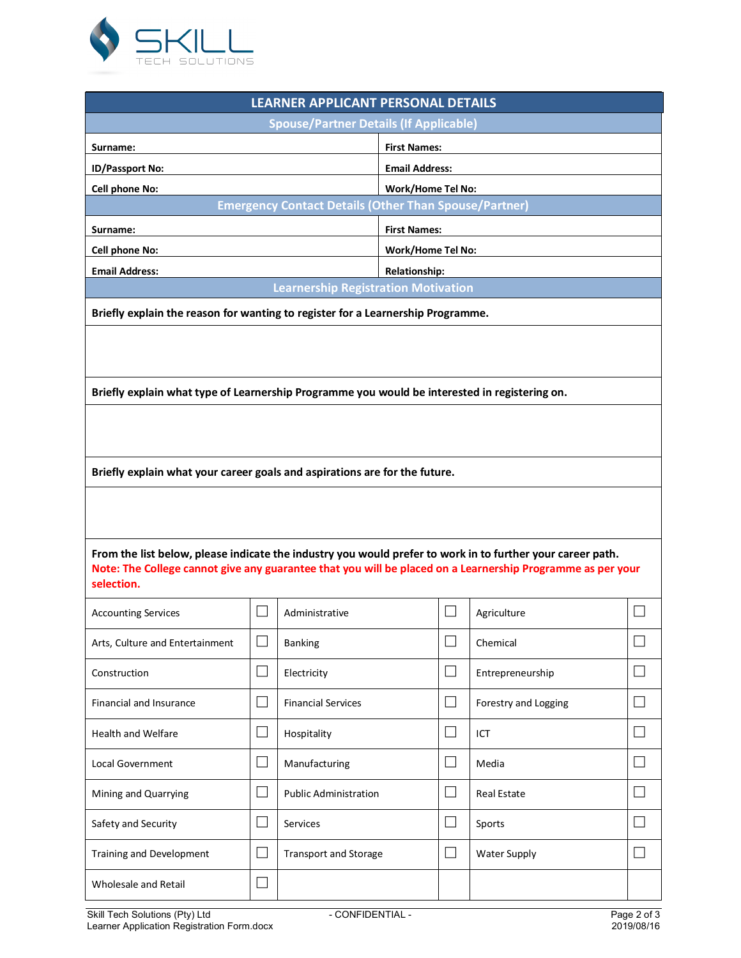

| LEARNER APPLICANT PERSONAL DETAILS                                                                                                                                                                                                     |                             |                                                              |                          |                      |  |  |  |  |
|----------------------------------------------------------------------------------------------------------------------------------------------------------------------------------------------------------------------------------------|-----------------------------|--------------------------------------------------------------|--------------------------|----------------------|--|--|--|--|
| <b>Spouse/Partner Details (If Applicable)</b>                                                                                                                                                                                          |                             |                                                              |                          |                      |  |  |  |  |
| Surname:                                                                                                                                                                                                                               |                             |                                                              | <b>First Names:</b>      |                      |  |  |  |  |
| ID/Passport No:                                                                                                                                                                                                                        |                             |                                                              | <b>Email Address:</b>    |                      |  |  |  |  |
| <b>Cell phone No:</b>                                                                                                                                                                                                                  |                             |                                                              | Work/Home Tel No:        |                      |  |  |  |  |
|                                                                                                                                                                                                                                        |                             | <b>Emergency Contact Details (Other Than Spouse/Partner)</b> |                          |                      |  |  |  |  |
| Surname:                                                                                                                                                                                                                               |                             |                                                              | <b>First Names:</b>      |                      |  |  |  |  |
| <b>Cell phone No:</b>                                                                                                                                                                                                                  |                             |                                                              | <b>Work/Home Tel No:</b> |                      |  |  |  |  |
| <b>Email Address:</b>                                                                                                                                                                                                                  |                             |                                                              | <b>Relationship:</b>     |                      |  |  |  |  |
| <b>Learnership Registration Motivation</b><br>Briefly explain the reason for wanting to register for a Learnership Programme.                                                                                                          |                             |                                                              |                          |                      |  |  |  |  |
|                                                                                                                                                                                                                                        |                             |                                                              |                          |                      |  |  |  |  |
| Briefly explain what type of Learnership Programme you would be interested in registering on.                                                                                                                                          |                             |                                                              |                          |                      |  |  |  |  |
|                                                                                                                                                                                                                                        |                             |                                                              |                          |                      |  |  |  |  |
|                                                                                                                                                                                                                                        |                             |                                                              |                          |                      |  |  |  |  |
| Briefly explain what your career goals and aspirations are for the future.                                                                                                                                                             |                             |                                                              |                          |                      |  |  |  |  |
|                                                                                                                                                                                                                                        |                             |                                                              |                          |                      |  |  |  |  |
|                                                                                                                                                                                                                                        |                             |                                                              |                          |                      |  |  |  |  |
|                                                                                                                                                                                                                                        |                             |                                                              |                          |                      |  |  |  |  |
| From the list below, please indicate the industry you would prefer to work in to further your career path.<br>Note: The College cannot give any guarantee that you will be placed on a Learnership Programme as per your<br>selection. |                             |                                                              |                          |                      |  |  |  |  |
| <b>Accounting Services</b>                                                                                                                                                                                                             |                             | Administrative                                               |                          | Agriculture          |  |  |  |  |
| Arts, Culture and Entertainment                                                                                                                                                                                                        |                             | <b>Banking</b>                                               |                          | Chemical             |  |  |  |  |
| Construction                                                                                                                                                                                                                           |                             | Electricity                                                  | $\Box$                   | Entrepreneurship     |  |  |  |  |
| <b>Financial and Insurance</b>                                                                                                                                                                                                         | $\mathcal{L}_{\mathcal{A}}$ | <b>Financial Services</b>                                    | $\mathsf{L}$             | Forestry and Logging |  |  |  |  |
| <b>Health and Welfare</b>                                                                                                                                                                                                              |                             | Hospitality                                                  |                          | ICT                  |  |  |  |  |
| Local Government                                                                                                                                                                                                                       |                             | Manufacturing                                                |                          | Media                |  |  |  |  |
| Mining and Quarrying                                                                                                                                                                                                                   |                             | <b>Public Administration</b>                                 |                          | Real Estate          |  |  |  |  |
| Safety and Security                                                                                                                                                                                                                    |                             | Services                                                     |                          | Sports               |  |  |  |  |
| <b>Training and Development</b>                                                                                                                                                                                                        |                             | <b>Transport and Storage</b>                                 |                          | <b>Water Supply</b>  |  |  |  |  |
| Wholesale and Retail                                                                                                                                                                                                                   |                             |                                                              |                          |                      |  |  |  |  |